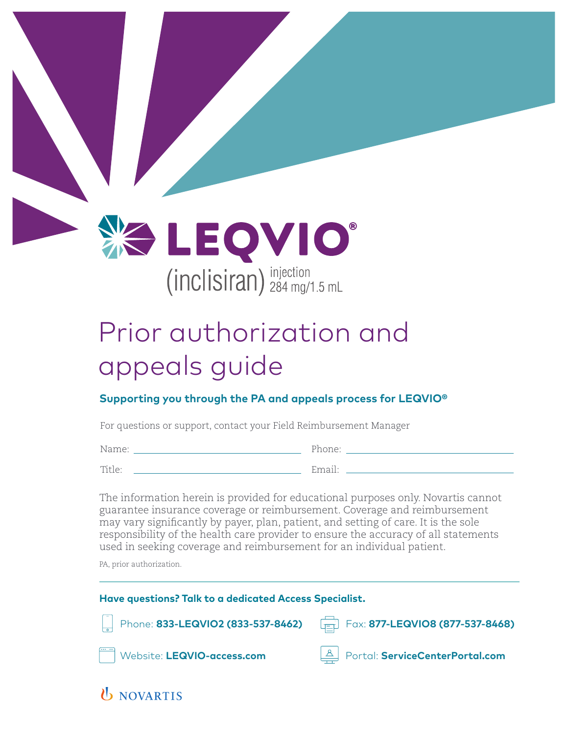**EOVIO**  $(inclisiran)$ <sup>injection</sup><br>284 mg/1.5 mL

# Prior authorization and appeals guide

#### **Supporting you through the PA and appeals process for LEQVIO®**

For questions or support, contact your Field Reimbursement Manager

Name: Phone:

Title:

enter and Email: <u>Email: Email: All Ann and All Ann and All Ann ann an All Ann an All Ann an All Ann an All Ann an All Ann an All Ann an All Ann an All Ann an All Ann an All Ann an All Ann an All Ann an All Ann an All Ann </u>

The information herein is provided for educational purposes only. Novartis cannot guarantee insurance coverage or reimbursement. Coverage and reimbursement may vary significantly by payer, plan, patient, and setting of care. It is the sole responsibility of the health care provider to ensure the accuracy of all statements used in seeking coverage and reimbursement for an individual patient.

PA, prior authorization.

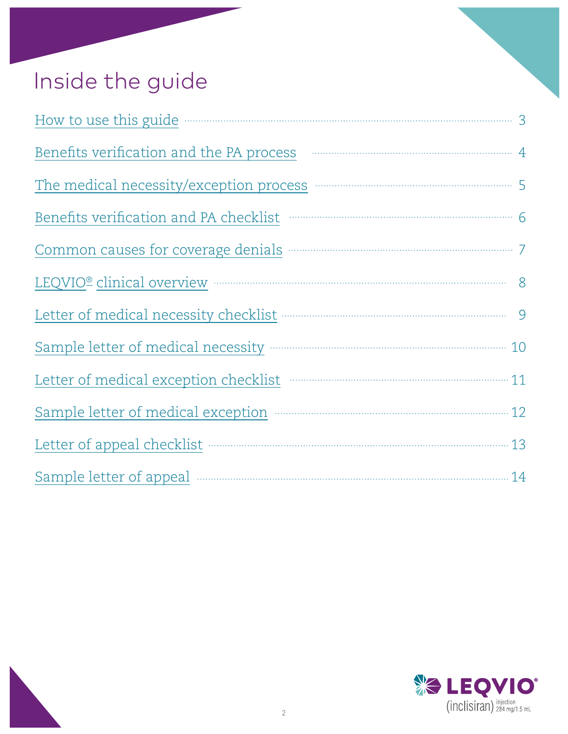# Inside the guide

| How to use this guide <b>Constanting the Constanting Constanting Constanting Constanting Constanting Constanting Constanting Constanting Constanting Constanting Constanting Constanting Constanting Constanting Constanting Con</b> |
|--------------------------------------------------------------------------------------------------------------------------------------------------------------------------------------------------------------------------------------|
| Benefits verification and the PA process manufactured and the PA process demonstration and the PA process demonstration and the PA process demonstration and the PA process demonstration and the PA process demonstration and       |
| The medical necessity/exception process manufactured by 5                                                                                                                                                                            |
| Benefits verification and PA checklist manufacture of the 6                                                                                                                                                                          |
| Common causes for coverage denials <b>manufactures</b> and the proportion of the common causes for coverage denials                                                                                                                  |
| LEQVIO® clinical overview manufacturer and the contract of the state of the state of the state of the state of the state of the state of the state of the state of the state of the state of the state of the state of the sta       |
|                                                                                                                                                                                                                                      |
|                                                                                                                                                                                                                                      |
| Letter of medical exception checklist manufactured and 11                                                                                                                                                                            |
| Sample letter of medical exception manufactured and 12                                                                                                                                                                               |
|                                                                                                                                                                                                                                      |
| Sample letter of appeal manuscritting and the contract of appeal of the summary and the sample letter of appeal                                                                                                                      |

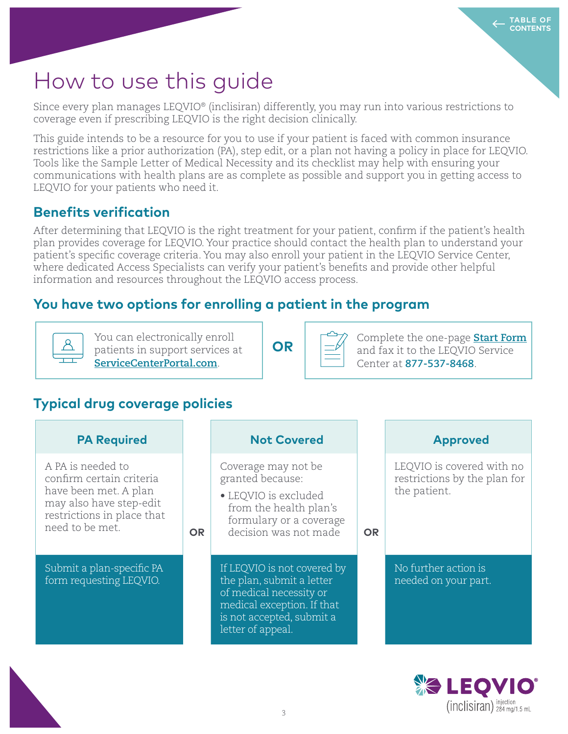## How to use this guide

Since every plan manages LEQVIO® (inclisiran) differently, you may run into various restrictions to coverage even if prescribing LEQVIO is the right decision clinically.

This guide intends to be a resource for you to use if your patient is faced with common insurance restrictions like a prior authorization (PA), step edit, or a plan not having a policy in place for LEQVIO. Tools like the Sample Letter of Medical Necessity and its checklist may help with ensuring your communications with health plans are as complete as possible and support you in getting access to LEQVIO for your patients who need it.

### **Benefits verification**

After determining that LEQVIO is the right treatment for your patient, confirm if the patient's health plan provides coverage for LEQVIO. Your practice should contact the health plan to understand your patient's specific coverage criteria. You may also enroll your patient in the LEQVIO Service Center, where dedicated Access Specialists can verify your patient's benefits and provide other helpful information and resources throughout the LEQVIO access process.

### **You have two options for enrolling a patient in the program**



You can electronically enroll patients in support services at **ServiceCenterPortal.com**.

**OR**

Complete the one-page **Start Form** and fax it to the LEQVIO Service Center at **877-537-8468**.

## **Typical drug coverage policies**

| <b>PA Required</b>                                                                                                                                 |     | <b>Not Covered</b>                                                                                                                                                  |           | <b>Approved</b>                                                           |
|----------------------------------------------------------------------------------------------------------------------------------------------------|-----|---------------------------------------------------------------------------------------------------------------------------------------------------------------------|-----------|---------------------------------------------------------------------------|
| A PA is needed to<br>confirm certain criteria<br>have been met. A plan<br>may also have step-edit<br>restrictions in place that<br>need to be met. | OR. | Coverage may not be<br>granted because:<br>• LEQVIO is excluded<br>from the health plan's<br>formulary or a coverage<br>decision was not made                       | <b>OR</b> | LEQVIO is covered with no<br>restrictions by the plan for<br>the patient. |
| Submit a plan-specific PA<br>form requesting LEQVIO.                                                                                               |     | If LEQVIO is not covered by<br>the plan, submit a letter<br>of medical necessity or<br>medical exception. If that<br>is not accepted, submit a<br>letter of appeal. |           | No further action is<br>needed on your part.                              |

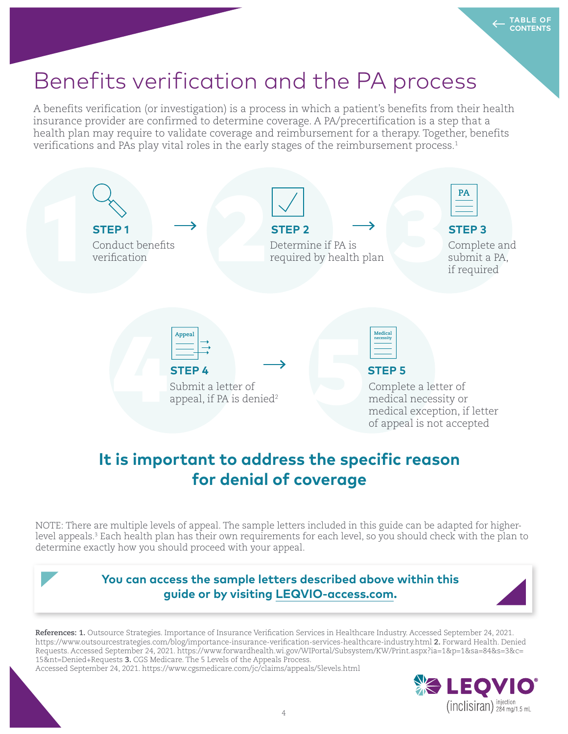# Benefits verification and the PA process

A benefits verification (or investigation) is a process in which a patient's benefits from their health insurance provider are confirmed to determine coverage. A PA/precertification is a step that a health plan may require to validate coverage and reimbursement for a therapy. Together, benefits verifications and PAs play vital roles in the early stages of the reimbursement process.<sup>1</sup>



## **It is important to address the specific reason for denial of coverage**

NOTE: There are multiple levels of appeal. The sample letters included in this guide can be adapted for higherlevel appeals.<sup>3</sup> Each health plan has their own requirements for each level, so you should check with the plan to determine exactly how you should proceed with your appeal.



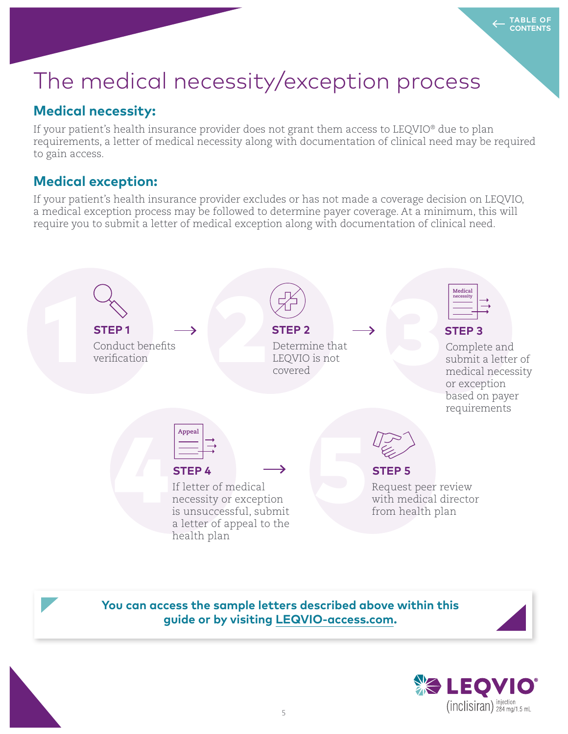# The medical necessity/exception process

### **Medical necessity:**

If your patient's health insurance provider does not grant them access to LEQVIO® due to plan requirements, a letter of medical necessity along with documentation of clinical need may be required to gain access.

### **Medical exception:**

If your patient's health insurance provider excludes or has not made a coverage decision on LEQVIO, a medical exception process may be followed to determine payer coverage. At a minimum, this will require you to submit a letter of medical exception along with documentation of clinical need.



**You can access the sample letters described above within this guide or by visiting LEQVIO-access.com.**

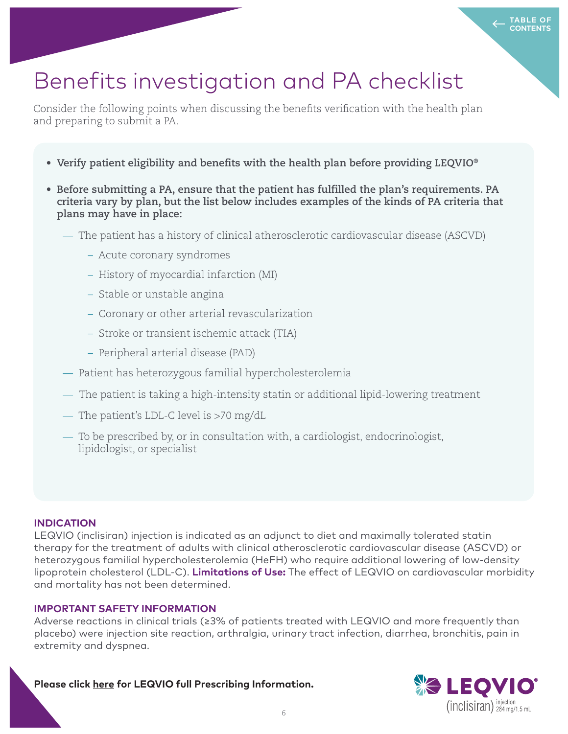# Benefits investigation and PA checklist

Consider the following points when discussing the benefits verification with the health plan and preparing to submit a PA.

- **Verify patient eligibility and benefits with the health plan before providing LEQVIO®**
- **Before submitting a PA, ensure that the patient has fulfilled the plan's requirements. PA criteria vary by plan, but the list below includes examples of the kinds of PA criteria that plans may have in place:**
	- The patient has a history of clinical atherosclerotic cardiovascular disease (ASCVD)
		- Acute coronary syndromes
		- History of myocardial infarction (MI)
		- Stable or unstable angina
		- Coronary or other arterial revascularization
		- Stroke or transient ischemic attack (TIA)
		- Peripheral arterial disease (PAD)
	- Patient has heterozygous familial hypercholesterolemia
	- The patient is taking a high-intensity statin or additional lipid-lowering treatment
	- The patient's LDL-C level is >70 mg/dL
	- To be prescribed by, or in consultation with, a cardiologist, endocrinologist, lipidologist, or specialist

#### **INDICATION**

LEQVIO (inclisiran) injection is indicated as an adjunct to diet and maximally tolerated statin therapy for the treatment of adults with clinical atherosclerotic cardiovascular disease (ASCVD) or heterozygous familial hypercholesterolemia (HeFH) who require additional lowering of low-density lipoprotein cholesterol (LDL-C). **Limitations of Use:** The effect of LEQVIO on cardiovascular morbidity and mortality has not been determined.

#### **IMPORTANT SAFETY INFORMATION**

Adverse reactions in clinical trials (≥3% of patients treated with LEQVIO and more frequently than placebo) were injection site reaction, arthralgia, urinary tract infection, diarrhea, bronchitis, pain in extremity and dyspnea.

**Please click here for LEQVIO full Prescribing Information.**

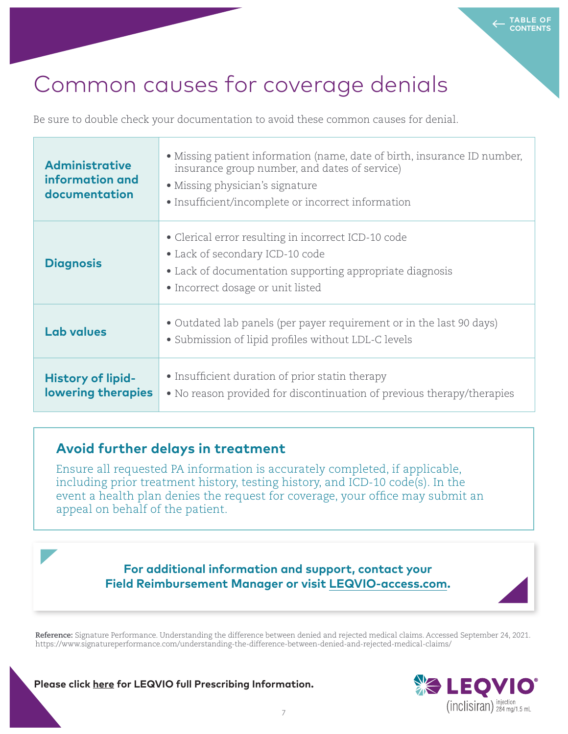## Common causes for coverage denials

Be sure to double check your documentation to avoid these common causes for denial.

| <b>Administrative</b><br>information and<br>documentation | • Missing patient information (name, date of birth, insurance ID number,<br>insurance group number, and dates of service)<br>• Missing physician's signature<br>• Insufficient/incomplete or incorrect information |  |
|-----------------------------------------------------------|--------------------------------------------------------------------------------------------------------------------------------------------------------------------------------------------------------------------|--|
| <b>Diagnosis</b>                                          | • Clerical error resulting in incorrect ICD-10 code<br>• Lack of secondary ICD-10 code<br>• Lack of documentation supporting appropriate diagnosis<br>• Incorrect dosage or unit listed                            |  |
| Lab values                                                | • Outdated lab panels (per payer requirement or in the last 90 days)<br>• Submission of lipid profiles without LDL-C levels                                                                                        |  |
| <b>History of lipid-</b><br><b>lowering therapies</b>     | • Insufficient duration of prior statin therapy<br>• No reason provided for discontinuation of previous therapy/therapies                                                                                          |  |

### **Avoid further delays in treatment**

Ensure all requested PA information is accurately completed, if applicable, including prior treatment history, testing history, and ICD-10 code(s). In the event a health plan denies the request for coverage, your office may submit an appeal on behalf of the patient.

> **For additional information and support, contact your Field Reimbursement Manager or visit LEQVIO-access.com.**

**Reference:** Signature Performance. Understanding the difference between denied and rejected medical claims. Accessed September 24, 2021. https://www.signatureperformance.com/understanding-the-difference-between-denied-and-rejected-medical-claims/

**Please click here for LEQVIO full Prescribing Information.**

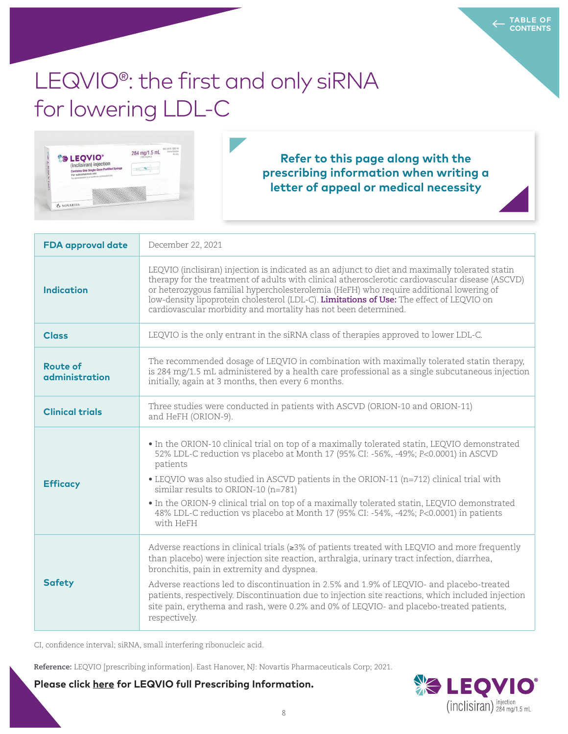# LEQVIO<sup>®</sup>: the first and only siRNA for lowering LDL-C



#### **Refer to this page along with the prescribing information when writing a letter of appeal or medical necessity**

| <b>FDA</b> approval date          | December 22, 2021                                                                                                                                                                                                                                                                                                                                                                                                                                                                                                                                              |
|-----------------------------------|----------------------------------------------------------------------------------------------------------------------------------------------------------------------------------------------------------------------------------------------------------------------------------------------------------------------------------------------------------------------------------------------------------------------------------------------------------------------------------------------------------------------------------------------------------------|
| <b>Indication</b>                 | LEQVIO (inclisiran) injection is indicated as an adjunct to diet and maximally tolerated statin<br>therapy for the treatment of adults with clinical atherosclerotic cardiovascular disease (ASCVD)<br>or heterozygous familial hypercholesterolemia (HeFH) who require additional lowering of<br>low-density lipoprotein cholesterol (LDL-C). Limitations of Use: The effect of LEQVIO on<br>cardiovascular morbidity and mortality has not been determined.                                                                                                  |
| <b>Class</b>                      | LEQVIO is the only entrant in the siRNA class of therapies approved to lower LDL-C.                                                                                                                                                                                                                                                                                                                                                                                                                                                                            |
| <b>Route of</b><br>administration | The recommended dosage of LEQVIO in combination with maximally tolerated statin therapy,<br>is 284 mg/1.5 mL administered by a health care professional as a single subcutaneous injection<br>initially, again at 3 months, then every 6 months.                                                                                                                                                                                                                                                                                                               |
| <b>Clinical trials</b>            | Three studies were conducted in patients with ASCVD (ORION-10 and ORION-11)<br>and HeFH (ORION-9).                                                                                                                                                                                                                                                                                                                                                                                                                                                             |
| <b>Efficacy</b>                   | • In the ORION-10 clinical trial on top of a maximally tolerated statin, LEQVIO demonstrated<br>52% LDL-C reduction vs placebo at Month 17 (95% CI: -56%, -49%; P<0.0001) in ASCVD<br>patients<br>• LEQVIO was also studied in ASCVD patients in the ORION-11 (n=712) clinical trial with<br>similar results to ORION-10 $(n=781)$<br>• In the ORION-9 clinical trial on top of a maximally tolerated statin, LEQVIO demonstrated<br>48% LDL-C reduction vs placebo at Month 17 (95% CI: -54%, -42%; P<0.0001) in patients<br>with HeFH                        |
| <b>Safety</b>                     | Adverse reactions in clinical trials ( $\geq 3\%$ of patients treated with LEQVIO and more frequently<br>than placebo) were injection site reaction, arthralgia, urinary tract infection, diarrhea,<br>bronchitis, pain in extremity and dyspnea.<br>Adverse reactions led to discontinuation in 2.5% and 1.9% of LEQVIO- and placebo-treated<br>patients, respectively. Discontinuation due to injection site reactions, which included injection<br>site pain, erythema and rash, were 0.2% and 0% of LEQVIO- and placebo-treated patients,<br>respectively. |

CI, confidence interval; siRNA, small interfering ribonucleic acid.

**Reference:** LEQVIO [prescribing information]. East Hanover, NJ: Novartis Pharmaceuticals Corp; 2021.

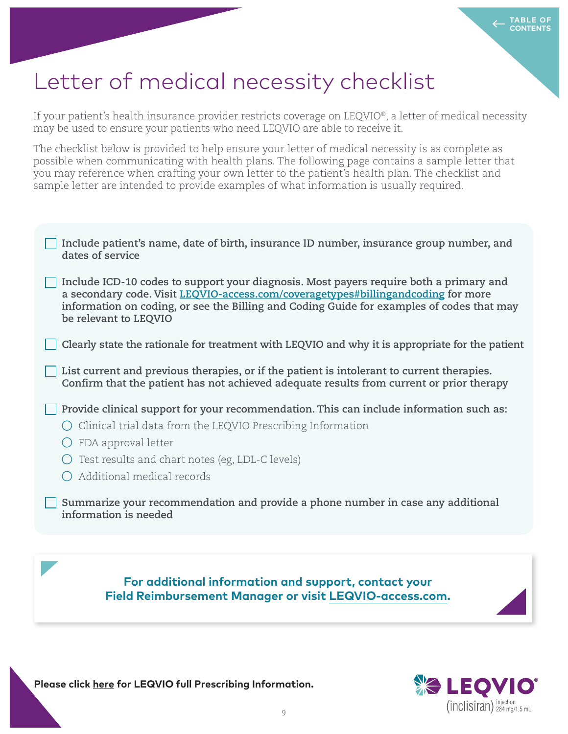## Letter of medical necessity checklist

If your patient's health insurance provider restricts coverage on LEQVIO®, a letter of medical necessity may be used to ensure your patients who need LEQVIO are able to receive it.

The checklist below is provided to help ensure your letter of medical necessity is as complete as possible when communicating with health plans. The following page contains a sample letter that you may reference when crafting your own letter to the patient's health plan. The checklist and sample letter are intended to provide examples of what information is usually required.

| For additional information and support, contact your                                                                                                                                                                                                                                              |
|---------------------------------------------------------------------------------------------------------------------------------------------------------------------------------------------------------------------------------------------------------------------------------------------------|
|                                                                                                                                                                                                                                                                                                   |
| Summarize your recommendation and provide a phone number in case any additional<br>information is needed                                                                                                                                                                                          |
| Clinical trial data from the LEQVIO Prescribing Information<br>FDA approval letter<br>Test results and chart notes (eg, LDL-C levels)<br>Additional medical records                                                                                                                               |
| Confirm that the patient has not achieved adequate results from current or prior therapy<br>Provide clinical support for your recommendation. This can include information such as:                                                                                                               |
| List current and previous therapies, or if the patient is intolerant to current therapies.                                                                                                                                                                                                        |
| Clearly state the rationale for treatment with LEQVIO and why it is appropriate for the patient                                                                                                                                                                                                   |
| Include ICD-10 codes to support your diagnosis. Most payers require both a primary and<br>a secondary code. Visit LEQVIO-access.com/coveragetypes#billingandcoding for more<br>information on coding, or see the Billing and Coding Guide for examples of codes that may<br>be relevant to LEQVIO |
| Include patient's name, date of birth, insurance ID number, insurance group number, and<br>dates of service                                                                                                                                                                                       |

**Field Reimbursement Manager or visit LEQVIO-access.com.**

**Please click here for LEQVIO full Prescribing Information.**

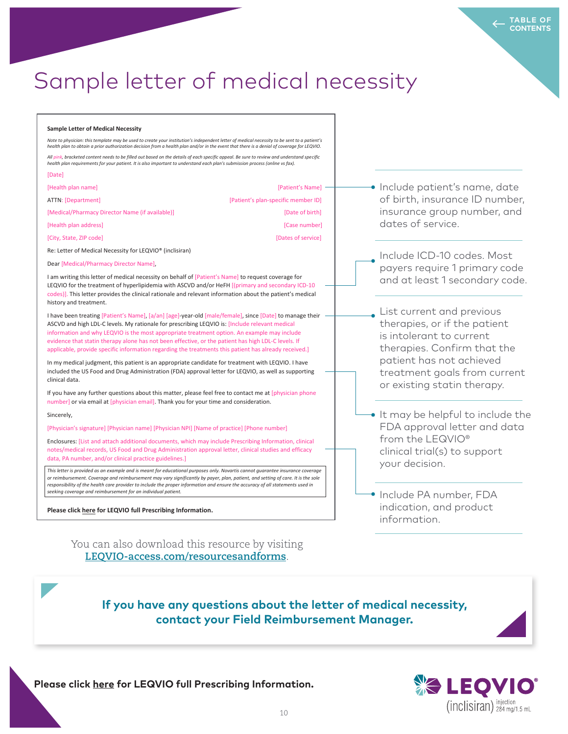## Sample letter of medical necessity

#### **Sample Letter of Medical Necessity**

*Note to physician: this template may be used to create your institution's independent letter of medical necessity to be sent to a patient's health plan to obtain a prior authorization decision from a health plan and/or in the event that there is a denial of coverage for LEQVIO. All pink, bracketed content needs to be filled out based on the details of each specific appeal. Be sure to review and understand specific health plan requirements for your patient. It is also important to understand each plan's submission process (online vs fax).*  [Date] [Health plan name] [Patient's Name] ATTN: [Department] [Patient's plan-specific member ID] [Medical/Pharmacy Director Name (if available)] [Date of birth] [Health plan address] [Case number]

Re: Letter of Medical Necessity for LEQVIO® (inclisiran)

Dear [Medical/Pharmacy Director Name],

I am writing this letter of medical necessity on behalf of [Patient's Name] to request coverage for LEQVIO for the treatment of hyperlipidemia with ASCVD and/or HeFH [(primary and secondary ICD-10 codes)]. This letter provides the clinical rationale and relevant information about the patient's medical history and treatment.

[City, State, ZIP code] [Dates of service]

I have been treating [Patient's Name], [a/an] [age]-year-old [male/female], since [Date] to manage their INDITY and m<sub>a</sub>n list of creation, the most appropriate treatment option. An example may include information and why LEQVIO is the most appropriate treatment option. An example may include evidence that statin therapy alone has not been effective, or the patient has high LDL-C levels. If applicable, provide specific information regarding the treatments this patient has already received.] ASCVD and high LDL-C levels. My rationale for prescribing LEQVIO is: [Include relevant medical

In my medical judgment, this patient is an appropriate candidate for treatment with LEQVIO. I have included the US Food and Drug Administration (FDA) approval letter for LEQVIO, as well as supporting clinical data.

If you have any further questions about this matter, please feel free to contact me at [physician phone number] or via email at [physician email]. Thank you for your time and consideration.

#### Sincerely,

 $\mathcal{A}(\mathcal{A})$  of patients trials ( $\mathcal{A}(\mathcal{A})$  of patients trials trials trials trials trials ( $\mathcal{A}(\mathcal{A})$ [Physician's signature] [Physician name] [Physician NPI] [Name of practice] [Phone number]

Enclosures: [List and attach additional documents, which may include Prescribing Information, clinical Adverse reactions led to discontinuation in 2.5% and place books and place books and placebo-treated and place<br>data, PA number, and/or clinical practice guidelines.]  $p$  at a respectively. Discontinuation site reaction site reaction site reactions, which injections, which in notes/medical records, US Food and Drug Administration approval letter, clinical studies and efficacy

This letter is provided as an example and is meant for educational purposes only. Novartis cannot guarantee insurance coveragi<br>or reimbursement. Coverage and reimbursement may vary significantly by payer, plan, patient, an respectively.] [TBD: Injection site reactions were mild to moderate.] *responsibility of the health care provider to include the proper information and ensure the accuracy of all statements used in This letter is provided as an example and is meant for educational purposes only. Novartis cannot guarantee insurance coverage seeking coverage and reimbursement for an individual patient.*

Please click here for LEQVIO full Prescribing Information.

You can also download this resource by visiting **LEQVIO-access.com/resourcesandforms**.

**·** Include patient's name, date of birth, insurance ID number, insurance group number, and dates of service.

**TABLE OF CONTENTS**

Include ICD-10 codes. Most payers require 1 primary code and at least 1 secondary code.

List current and previous therapies, or if the patient is intolerant to current therapies. Confirm that the patient has not achieved treatment goals from current or existing statin therapy.

- It may be helpful to include the FDA approval letter and data from the LEQVIO® clinical trial(s) to support your decision.
- Include PA number, FDA indication, and product information.

#### **If you have any questions about the letter of medical necessity, contact your Field Reimbursement Manager.**

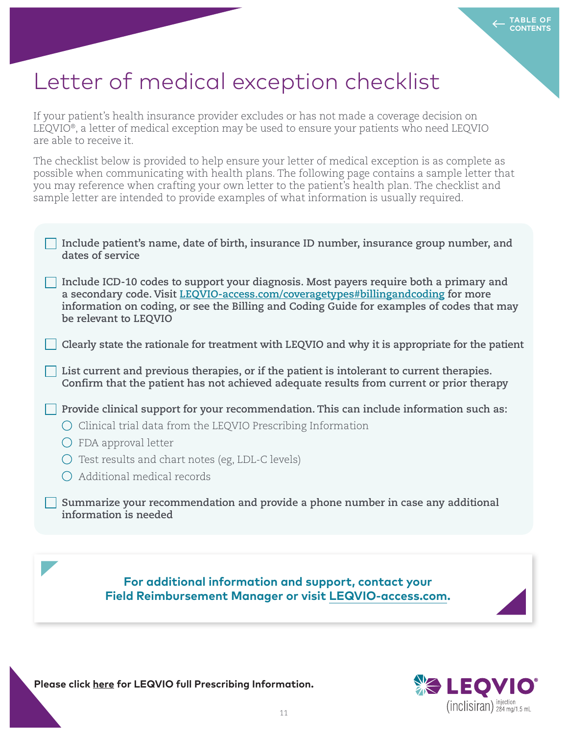## Letter of medical exception checklist

If your patient's health insurance provider excludes or has not made a coverage decision on LEQVIO®, a letter of medical exception may be used to ensure your patients who need LEQVIO are able to receive it.

The checklist below is provided to help ensure your letter of medical exception is as complete as possible when communicating with health plans. The following page contains a sample letter that you may reference when crafting your own letter to the patient's health plan. The checklist and sample letter are intended to provide examples of what information is usually required.

| Include patient's name, date of birth, insurance ID number, insurance group number, and<br>dates of service                                                                                                                                                                                       |
|---------------------------------------------------------------------------------------------------------------------------------------------------------------------------------------------------------------------------------------------------------------------------------------------------|
| Include ICD-10 codes to support your diagnosis. Most payers require both a primary and<br>a secondary code. Visit LEQVIO-access.com/coveragetypes#billingandcoding for more<br>information on coding, or see the Billing and Coding Guide for examples of codes that may<br>be relevant to LEQVIO |
| Clearly state the rationale for treatment with LEQVIO and why it is appropriate for the patient                                                                                                                                                                                                   |
| List current and previous therapies, or if the patient is intolerant to current therapies.<br>Confirm that the patient has not achieved adequate results from current or prior therapy                                                                                                            |
| Provide clinical support for your recommendation. This can include information such as:<br>Clinical trial data from the LEQVIO Prescribing Information<br>FDA approval letter<br>Test results and chart notes (eg, LDL-C levels)<br>Additional medical records                                    |
| Summarize your recommendation and provide a phone number in case any additional<br>information is needed                                                                                                                                                                                          |
|                                                                                                                                                                                                                                                                                                   |
| For additional information and support, contact your<br>$\mathbf{A}$ , $\mathbf{A}$ , $\mathbf{A}$ , $\mathbf{A}$                                                                                                                                                                                 |

**Field Reimbursement Manager or visit LEQVIO-access.com.**

**Please click here for LEQVIO full Prescribing Information.**

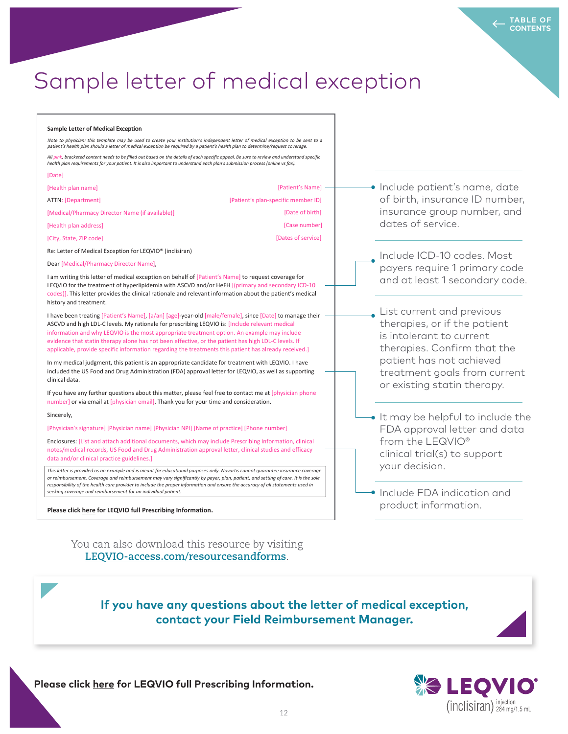## Sample letter of medical exception

#### **Sample Letter of Medical** Exception

Note to physician: this template may be used to create your institution's independent letter of medical exception to be sent to a patient's health plan should a letter of medical exception be required by a patient's health plan to determine/re

*All pink, bracketed content needs to be filled out based on the details of each specific appeal. Be sure to review and understand specific health plan requirements for your patient. It is also important to understand each plan's submission process (online vs fax).*

| [Date]                                          |                                     |
|-------------------------------------------------|-------------------------------------|
| [Health plan name]                              | [Patient's Name]                    |
| ATTN: [Department]                              | [Patient's plan-specific member ID] |
| [Medical/Pharmacy Director Name (if available)] | [Date of birth]                     |
| [Health plan address]                           | [Case number]                       |
| [City, State, ZIP code]                         | [Dates of service]                  |

Re: Letter of Medical Exception for LEQVIO® (inclisiran)

Dear [Medical/Pharmacy Director Name],

I am writing this letter of medical exception on behalf of [Patient's Name] to request coverage for LEQVIO for the treatment of hyperlipidemia with ASCVD and/or HeFH [(primary and secondary ICD-10 codes)]. This letter provides the clinical rationale and relevant information about the patient's medical history and treatment.

I have been treating [Patient's Name], [a/an] [age]-year-old [male/female], since [Date] to manage their INDITE and m<sub>a</sub>n list of creation, practicle is problinang light to the most appropriate treatment option. An example may include evidence that statin therapy alone has not been effective, or the patient has high LDL-C levels. If applicable, provide specific information regarding the treatments this patient has already received.] ASCVD and high LDL-C levels. My rationale for prescribing LEQVIO is: [Include relevant medical

In my medical judgment, this patient is an appropriate candidate for treatment with LEQVIO. I have included the US Food and Drug Administration (FDA) approval letter for LEQVIO, as well as supporting clinical data.

If you have any further questions about this matter, please feel free to contact me at [physician phone number] or via email at [physician email]. Thank you for your time and consideration.

#### Sincerely,

 $\mathcal{A}(\mathcal{A})$  of patients trials ( $\mathcal{A}(\mathcal{A})$  of patients trials trials trials trials trials ( $\mathcal{A}(\mathcal{A})$ [Physician's signature] [Physician name] [Physician NPI] [Name of practice] [Phone number]

Enclosures: [List and attach additional documents, which may include Prescribing Information, clinical Adverse reactions led to discontinuation in 2.5% and placebo-treated books and placebo-treated and placebo-tre<br>data and/or clinical practice guidelines.]  $p$  at a respectively. Discontinuation site reaction site reaction site reactions, which injections, which in notes/medical records, US Food and Drug Administration approval letter, clinical studies and efficacy

This letter is provided as an example and is meant for educational purposes only. Novartis cannot guarantee insurance coveragi<br>or reimbursement. Coverage and reimbursement may vary significantly by payer, plan, patient, an respectively.] [TBD: Injection site reactions were mild to moderate.] *responsibility of the health care provider to include the proper information and ensure the accuracy of all statements used in This letter is provided as an example and is meant for educational purposes only. Novartis cannot guarantee insurance coverage seeking coverage and reimbursement for an individual patient.*

Please click here for LEQVIO full Prescribing Information.

You can also download this resource by visiting **LEQVIO-access.com/resourcesandforms**.

**·** Include patient's name, date of birth, insurance ID number, insurance group number, and dates of service.

**TABLE OF CONTENTS**

Include ICD-10 codes. Most payers require 1 primary code and at least 1 secondary code.

List current and previous therapies, or if the patient is intolerant to current therapies. Confirm that the patient has not achieved treatment goals from current or existing statin therapy.

- $\rightarrow$  It may be helpful to include the FDA approval letter and data from the LEQVIO® clinical trial(s) to support your decision.
- **Include FDA indication and** product information.

**If you have any questions about the letter of medical exception, contact your Field Reimbursement Manager.**

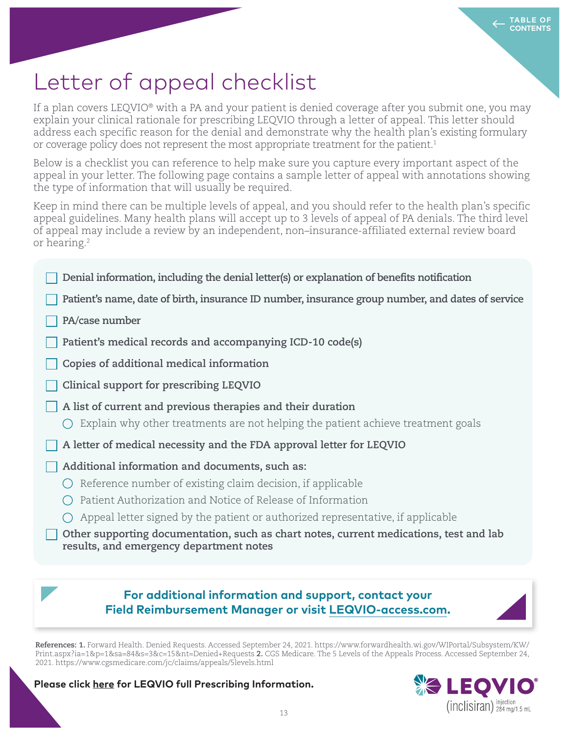# Letter of appeal checklist

If a plan covers LEQVIO® with a PA and your patient is denied coverage after you submit one, you may explain your clinical rationale for prescribing LEQVIO through a letter of appeal. This letter should address each specific reason for the denial and demonstrate why the health plan's existing formulary or coverage policy does not represent the most appropriate treatment for the patient.<sup>1</sup>

Below is a checklist you can reference to help make sure you capture every important aspect of the appeal in your letter. The following page contains a sample letter of appeal with annotations showing the type of information that will usually be required.

Keep in mind there can be multiple levels of appeal, and you should refer to the health plan's specific appeal guidelines. Many health plans will accept up to 3 levels of appeal of PA denials. The third level of appeal may include a review by an independent, non–insurance-affiliated external review board or hearing.<sup>2</sup>

- **Denial information, including the denial letter(s) or explanation of benefits notification**
- **Patient's name, date of birth, insurance ID number, insurance group number, and dates of service**
- **PA/case number**
- **Patient's medical records and accompanying ICD-10 code(s)**
- **Copies of additional medical information**
- **Clinical support for prescribing LEQVIO**
- **A list of current and previous therapies and their duration**
	- $\bigcirc$  Explain why other treatments are not helping the patient achieve treatment goals
- **A letter of medical necessity and the FDA approval letter for LEQVIO**
- **Additional information and documents, such as:**
	- $\bigcirc$  Reference number of existing claim decision, if applicable
	- $\bigcirc$  Patient Authorization and Notice of Release of Information
	- $\bigcirc$  Appeal letter signed by the patient or authorized representative, if applicable

 **Other supporting documentation, such as chart notes, current medications, test and lab results, and emergency department notes**

### **For additional information and support, contact your Field Reimbursement Manager or visit LEQVIO-access.com.**

**References: 1.** Forward Health. Denied Requests. Accessed September 24, 2021. https://www.forwardhealth.wi.gov/WIPortal/Subsystem/KW/ Print.aspx?ia=1&p=1&sa=84&s=3&c=15&nt=Denied+Requests **2.** CGS Medicare. The 5 Levels of the Appeals Process. Accessed September 24, 2021. https://www.cgsmedicare.com/jc/claims/appeals/5levels.html

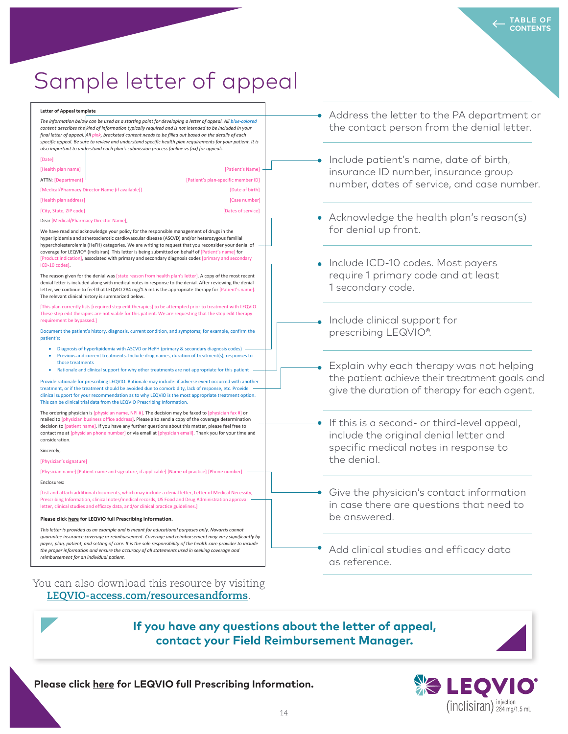# Sample letter of appeal

**Letter of Appeal template** *The information below can be used as a starting point for developing a letter of appeal. All blue-colored content describes the kind of information typically required and is not intended to be included in your final letter of appeal. All pink, bracketed content needs to be filled out based on the details of each specific appeal. Be sure to review and understand specific health plan requirements for your patient. It is also important to understand each plan's submission process (online vs fax) for appeals.* [Date] [Health plan name] [Patient's Name] ATTN: [Department] [Patient's plan-specific member ID] [Medical/Pharmacy Director Name (if available)] [Date of birth] [Health plan address] **[Case number]** [Case number] [City, State, ZIP code] [Dates of service] Dear [Medical/Pharmacy Director Name], We have read and acknowledge your policy for the responsible management of drugs in the hyperlipidemia and atherosclerotic cardiovascular disease (ASCVD) and/or heterozygous familial hypercholesterolemia (HeFH) categories. We are writing to request that you reconsider your denial of coverage for LEQVIO® (inclisiran). This letter is being submitted on behalf of [Patient's name] for [Product indication], associated with primary and secondary diagnosis codes [primary and secondary

The reason given for the denial was [state reason from health plan's letter]. A copy of the most recent denial letter is included along with medical notes in response to the denial. After reviewing the denial denial letter is included along with medical hotes in response to the denial. After reviewing the denial<br>letter, we continue to feel that LEQVIO 284 mg/1.5 mL is the appropriate therapy for [Patient's name]. The relevant clinical history is summarized below.

ICD-10 codes]. Provide rationale for provide rationale may include may include  $\Gamma$ 

[This plan currently lists [required step edit therapies] to be attempted prior to treatment with LEQVIO. These step edit therapies are not viable for this patient. We are requesting that the step edit therapy requirement be bypassed.]

Document the patient's history, diagnosis, current condition, and symptoms; for example, confirm the patient's:

- Diagnosis of hyperlipidemia with ASCVD or HeFH (primary & secondary diagnosis codes)
- Previous and current treatments. Include drug names, duration of treatment(s), responses to those treatments
- Inose treatments<br>• Rationale and clinical support for why other treatments are not appropriate for this patient

Provide rationale for prescribing LEQVIO. Rationale may include: if adverse event occurred with another treatment, or if the treatment should be avoided due to comorbidity, lack of response, etc. Provide clinical support for your recommendation as to why LEQVIO is the most appropriate treatment option. **guarantee insurance insurance in the LEQVIO Prescribing Information.** 

The ordering physician is [physician name, NPI #]. The decision may be faxed to [physician fax #] or mailed to [physician business office address]. Please also send a copy of the coverage determination maned to prhysician business onnce address). Please also send a copy of the coverage determination<br>decision to [patient name]. If you have any further questions about this matter, please feel free to contact me at [physician phone number] or via email at [physician email]. Thank you for your time and consideration.

**IMPORTANT SHEETY**,

 $[{\sf Physics} ]$ 

[Physician name] [Patient name and signature, if applicable] [Name of practice] [Phone number] Enclosures:

[List and attach additional documents, which may include a denial letter, Letter of Medical Necessity, Prescribing Information, clinical notes/medical records, US Food and Drug Administration approval letter, clinical studies and efficacy data, and/or clinical practice guidelines.]

#### **[INDICATION Please click here for LEQVIO full Prescribing Information.**

**IMPORTANT SAFETY INFORMATION** 

This letter is provided as an example and is meant for educational purposes only. Novartis cannot guarantee insurance coverage or reimbursement. Coverage and reimbursement may vary significantly by payer, plan, patient, and setting of care. It is the sole responsibility of the health care provider to include the proper information and ensure the accuracy of all statements used in seeking coverage and reimbursement for an individual patient.

You can also download this resource by visiting **LEQVIO-access.com/resourcesandforms.** 

- Address the letter to the PA department or the contact person from the denial letter.
- Include patient's name, date of birth, insurance ID number, insurance group number, dates of service, and case number.
- Acknowledge the health plan's reason(s) for denial up front.

Include ICD-10 codes. Most payers require 1 primary code and at least 1 secondary code.

- Include clinical support for prescribing LEQVIO®.
- Explain why each therapy was not helping the patient achieve their treatment goals and give the duration of therapy for each agent.
- If this is a second- or third-level appeal, include the original denial letter and specific medical notes in response to the denial.
- Give the physician's contact information in case there are questions that need to be answered.
- Add clinical studies and efficacy data as reference.

#### **If you have any questions about the letter of appeal, Please contact your Field Reimbursement Manager.** site pain, erythema and rash, were  $0.2$  and  $0.2$  and  $0.2$  and  $0.2$  and  $0.2$  and  $0.2$ *This letter is provided as an example and is meant for educational purposes only. Novartis cannot*